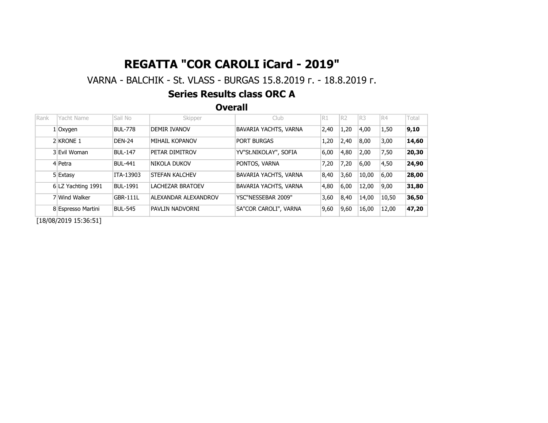### VARNA - BALCHIK - St. VLASS - BURGAS 15.8.2019 г. - 18.8.2019 г.

#### Series Results class ORC A

**Overall** 

| Rank | Yacht Name           | Sail No         | Skipper                | Club                  | R1   | R <sub>2</sub> | R <sub>3</sub> | IR4   | Total |
|------|----------------------|-----------------|------------------------|-----------------------|------|----------------|----------------|-------|-------|
|      | $1$ Oxygen           | <b>BUL-778</b>  | DEMIR IVANOV           | BAVARIA YACHTS, VARNA | 2,40 | 1,20           | 4,00           | 1,50  | 9,10  |
|      | 2 KRONE 1            | <b>DEN-24</b>   | MIHAIL KOPANOV         | <b>PORT BURGAS</b>    | 1,20 | 2,40           | 8,00           | 3,00  | 14,60 |
|      | 3 Evil Woman         | <b>BUL-147</b>  | PETAR DIMITROV         | YV"St.NIKOLAY", SOFIA | 6,00 | 4,80           | 2,00           | 7,50  | 20,30 |
|      | 4 Petra              | <b>BUL-441</b>  | Inikola dukov          | PONTOS, VARNA         | 7,20 | 7,20           | 6,00           | 4,50  | 24,90 |
|      | 5 Extasy             | ITA-13903       | <b>ISTEFAN KALCHEV</b> | BAVARIA YACHTS, VARNA | 8,40 | 3,60           | 10,00          | 6,00  | 28,00 |
|      | 6 LZ Yachting 1991   | <b>BUL-1991</b> | LACHEZAR BRATOEV       | BAVARIA YACHTS, VARNA | 4,80 | 6,00           | 12,00          | 9,00  | 31,80 |
|      | 7 Wind Walker        | <b>GBR-111L</b> | ALEXANDAR ALEXANDROV   | YSC"NESSEBAR 2009"    | 3,60 | 8,40           | 14,00          | 10,50 | 36,50 |
|      | 8 Espresso Martini   | <b>BUL-545</b>  | PAVLIN NADVORNI        | SA"COR CAROLI", VARNA | 9,60 | 9,60           | 16,00          | 12,00 | 47,20 |
|      | 110/00/2010.15.20.11 |                 |                        |                       |      |                |                |       |       |

[18/08/2019 15:36:51]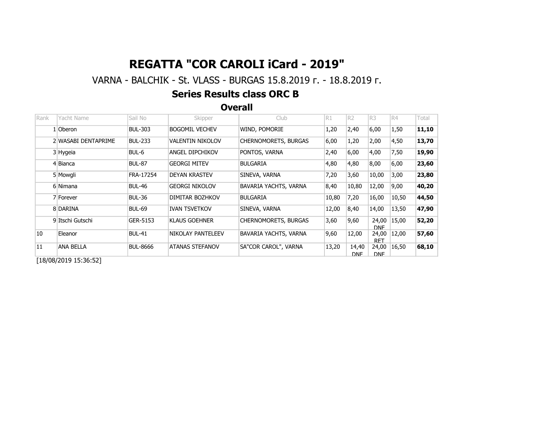### VARNA - BALCHIK - St. VLASS - BURGAS 15.8.2019 г. - 18.8.2019 г.

#### Series Results class ORC B

**Overall** 

| Rank | Yacht Name          | Sail No         | Skipper                 | Club                        | R1    | R <sub>2</sub>      | R3                  | R4    | Total |
|------|---------------------|-----------------|-------------------------|-----------------------------|-------|---------------------|---------------------|-------|-------|
|      | 1 Oberon            | <b>BUL-303</b>  | <b>BOGOMIL VECHEV</b>   | WIND, POMORIE               | 1,20  | 2,40                | 6,00                | 1,50  | 11,10 |
|      | 2 WASABI DENTAPRIME | <b>BUL-233</b>  | <b>VALENTIN NIKOLOV</b> | <b>CHERNOMORETS, BURGAS</b> | 6,00  | 1,20                | 2,00                | 4,50  | 13,70 |
|      | 3 Hygeia            | BUL-6           | <b>ANGEL DIPCHIKOV</b>  | PONTOS, VARNA               | 2,40  | 6,00                | 4,00                | 7,50  | 19,90 |
|      | 4 Bianca            | <b>BUL-87</b>   | <b>GEORGI MITEV</b>     | <b>BULGARIA</b>             | 4,80  | 4,80                | 8,00                | 6,00  | 23,60 |
|      | 5 Mowgli            | FRA-17254       | <b>DEYAN KRASTEV</b>    | SINEVA, VARNA               | 7,20  | 3,60                | 10,00               | 3,00  | 23,80 |
|      | 6 Nimana            | <b>BUL-46</b>   | <b>GEORGI NIKOLOV</b>   | BAVARIA YACHTS, VARNA       | 8,40  | 10,80               | 12,00               | 9,00  | 40,20 |
|      | 7 Forever           | <b>BUL-36</b>   | DIMITAR BOZHKOV         | <b>BULGARIA</b>             | 10,80 | 7,20                | 16,00               | 10,50 | 44,50 |
|      | 8 DARINA            | <b>BUL-69</b>   | <b>IVAN TSVETKOV</b>    | SINEVA, VARNA               | 12,00 | 8,40                | 14,00               | 13,50 | 47,90 |
|      | 9 Itschi Gutschi    | GER-5153        | <b>KLAUS GOEHNER</b>    | <b>CHERNOMORETS, BURGAS</b> | 3,60  | 9,60                | 24,00<br>DNF.       | 15,00 | 52,20 |
| 10   | Eleanor             | <b>BUL-41</b>   | NIKOLAY PANTELEEV       | BAVARIA YACHTS, VARNA       | 9,60  | 12,00               | 24,00<br><b>RFT</b> | 12,00 | 57,60 |
| 11   | ANA BELLA           | <b>BUL-8666</b> | <b>ATANAS STEFANOV</b>  | SA"COR CAROL", VARNA        | 13,20 | 14,40<br><b>DNF</b> | 24,00<br><b>DNF</b> | 16,50 | 68,10 |

[18/08/2019 15:36:52]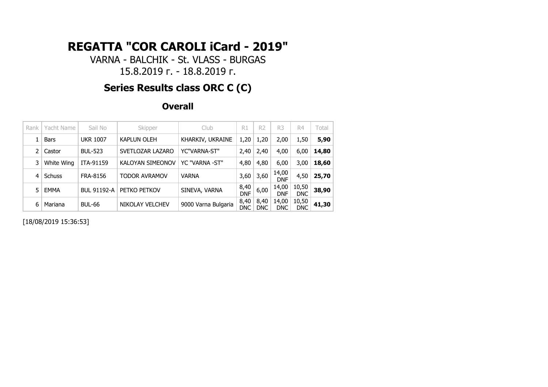VARNA - BALCHIK - St. VLASS - BURGAS 15.8.2019 г. - 18.8.2019 г.

# **Series Results class ORC C (C)**

#### **Overall**

| Rank | Yacht Name  | Sail No            | Skipper                 | Club                | R1                 | R <sub>2</sub>     | R3                  | R4                  | Total |
|------|-------------|--------------------|-------------------------|---------------------|--------------------|--------------------|---------------------|---------------------|-------|
|      | <b>Bars</b> | <b>UKR 1007</b>    | <b>KAPLUN OLEH</b>      | KHARKIV, UKRAINE    | 1,20               | 1,20               | 2,00                | 1,50                | 5,90  |
| 2    | Castor      | <b>BUL-523</b>     | SVETLOZAR LAZARO        | YC"VARNA-ST"        | 2,40               | 2,40               | 4,00                | 6,00                | 14,80 |
| 3    | White Wing  | ITA-91159          | <b>KALOYAN SIMEONOV</b> | YC "VARNA -ST"      | 4,80               | 4,80               | 6,00                | 3,00                | 18,60 |
| 4    | Schuss      | <b>FRA-8156</b>    | <b>TODOR AVRAMOV</b>    | <b>VARNA</b>        | 3,60               | 3,60               | 14,00<br><b>DNF</b> | 4,50                | 25,70 |
| 5    | <b>EMMA</b> | <b>BUL 91192-A</b> | PETKO PETKOV            | SINEVA, VARNA       | 8,40<br><b>DNF</b> | 6,00               | 14,00<br><b>DNF</b> | 10,50<br><b>DNC</b> | 38,90 |
| 6    | Mariana     | <b>BUL-66</b>      | NIKOLAY VELCHEV         | 9000 Varna Bulgaria | 8,40<br><b>DNC</b> | 8,40<br><b>DNC</b> | 14,00<br><b>DNC</b> | 10,50<br><b>DNC</b> | 41,30 |

[18/08/2019 15:36:53]